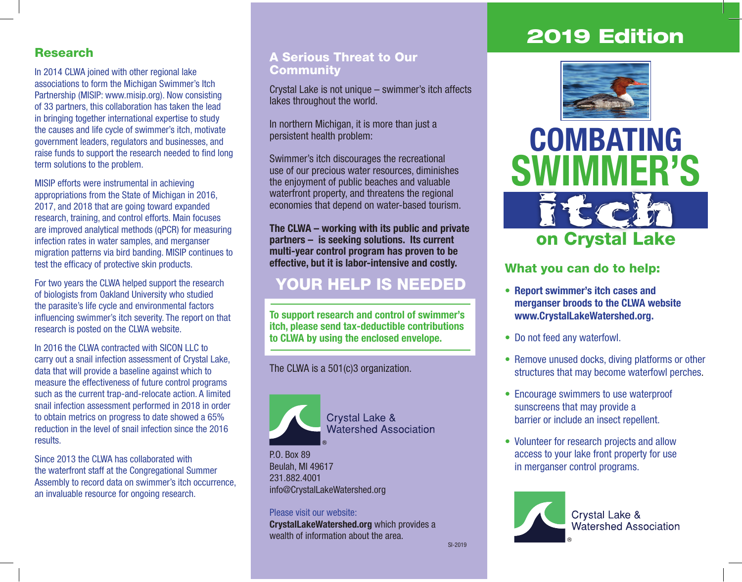## 2019 Edition

### Research

In 2014 CLWA joined with other regional lake associations to form the Michigan Swimmer's Itch Partnership (MISIP: www.misip.org). Now consisting of 33 partners, this collaboration has taken the lead in bringing together international expertise to study the causes and life cycle of swimmer's itch, motivate government leaders, regulators and businesses, and raise funds to support the research needed to find long term solutions to the problem.

MISIP efforts were instrumental in achieving appropriations from the State of Michigan in 2016, 2017, and 2018 that are going toward expanded research, training, and control efforts. Main focuses are improved analytical methods (qPCR) for measuring infection rates in water samples, and merganser migration patterns via bird banding. MISIP continues to test the efficacy of protective skin products.

For two years the CLWA helped support the research of biologists from Oakland University who studied the parasite's life cycle and environmental factors influencing swimmer's itch severity. The report on that research is posted on the CLWA website.

In 2016 the CLWA contracted with SICON LLC to carry out a snail infection assessment of Crystal Lake, data that will provide a baseline against which to measure the effectiveness of future control programs such as the current trap-and-relocate action. A limited snail infection assessment performed in 2018 in order to obtain metrics on progress to date showed a 65% reduction in the level of snail infection since the 2016 results.

Since 2013 the CLWA has collaborated with the waterfront staff at the Congregational Summer Assembly to record data on swimmer's itch occurrence, an invaluable resource for ongoing research.

### A Serious Threat to Our **Community**

Crystal Lake is not unique – swimmer's itch affects lakes throughout the world.

In northern Michigan, it is more than just a persistent health problem:

Swimmer's itch discourages the recreational use of our precious water resources, diminishes the enjoyment of public beaches and valuable waterfront property, and threatens the regional economies that depend on water-based tourism.

**The CLWA – working with its public and private partners – is seeking solutions. Its current multi-year control program has proven to be effective, but it is labor-intensive and costly.**

### YOUR HELP IS NEEDED

**To support research and control of swimmer's itch, please send tax-deductible contributions to CLWA by using the enclosed envelope.**

The CLWA is a 501(c)3 organization.



**Crystal Lake & Watershed Association** 

P.O. Box 89 Beulah, MI 49617 231.882.4001 info@CrystalLakeWatershed.org

Please visit our website: **CrystalLakeWatershed.org** which provides a wealth of information about the area.



# **COMBATING SWIMMER'S**



### What you can do to help:

- **• Report swimmer's itch cases and merganser broods to the CLWA website www.CrystalLakeWatershed.org.**
- Do not feed any waterfowl.
- Remove unused docks, diving platforms or other structures that may become waterfowl perches.
- Encourage swimmers to use waterproof sunscreens that may provide a barrier or include an insect repellent.
- Volunteer for research projects and allow access to your lake front property for use in merganser control programs.